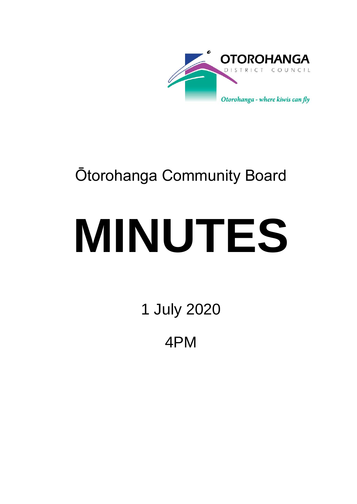

## Ōtorohanga Community Board

# **MINUTES**

1 July 2020

4PM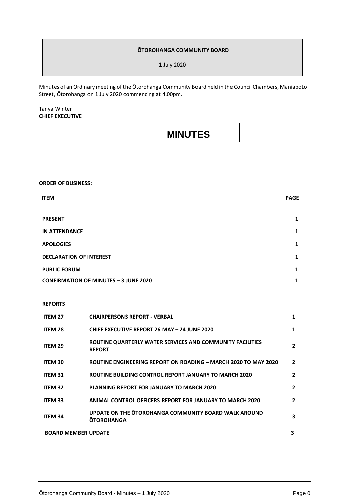#### **ŌTOROHANGA COMMUNITY BOARD**

1 July 2020

Minutes of an Ordinary meeting of the Ōtorohanga Community Board held in the Council Chambers, Maniapoto Street, Ōtorohanga on 1 July 2020 commencing at 4.00pm.

Tanya Winter **CHIEF EXECUTIVE**

### **MINUTES**

**ORDER OF BUSINESS:**

| <b>ITEM</b>                                  | <b>PAGE</b> |
|----------------------------------------------|-------------|
| <b>PRESENT</b>                               | 1           |
| <b>IN ATTENDANCE</b>                         | 1           |
| <b>APOLOGIES</b>                             | 1           |
| <b>DECLARATION OF INTEREST</b>               | 1           |
| <b>PUBLIC FORUM</b>                          | 1           |
| <b>CONFIRMATION OF MINUTES - 3 JUNE 2020</b> | 1           |

#### **REPORTS**

| ITEM 27                    | <b>CHAIRPERSONS REPORT - VERBAL</b>                                        | 1            |
|----------------------------|----------------------------------------------------------------------------|--------------|
| ITEM 28                    | <b>CHIEF EXECUTIVE REPORT 26 MAY - 24 JUNE 2020</b>                        | 1            |
| ITEM 29                    | ROUTINE QUARTERLY WATER SERVICES AND COMMUNITY FACILITIES<br><b>REPORT</b> | 2            |
| <b>ITEM 30</b>             | ROUTINE ENGINEERING REPORT ON ROADING - MARCH 2020 TO MAY 2020             | 2            |
| <b>ITEM 31</b>             | ROUTINE BUILDING CONTROL REPORT JANUARY TO MARCH 2020                      | $\mathbf{2}$ |
| ITEM 32                    | <b>PLANNING REPORT FOR JANUARY TO MARCH 2020</b>                           | 2            |
| <b>ITEM 33</b>             | <b>ANIMAL CONTROL OFFICERS REPORT FOR JANUARY TO MARCH 2020</b>            | $\mathbf{2}$ |
| <b>ITEM 34</b>             | UPDATE ON THE OTOROHANGA COMMUNITY BOARD WALK AROUND<br><b>OTOROHANGA</b>  | 3            |
| <b>BOARD MEMBER UPDATE</b> |                                                                            | 3            |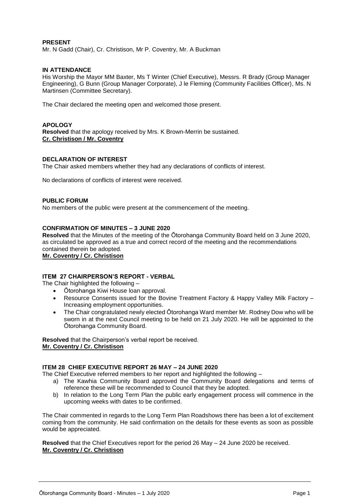#### **PRESENT**

Mr. N Gadd (Chair), Cr. Christison, Mr P. Coventry, Mr. A Buckman

#### **IN ATTENDANCE**

His Worship the Mayor MM Baxter, Ms T Winter (Chief Executive), Messrs. R Brady (Group Manager Engineering), G Bunn (Group Manager Corporate), J le Fleming (Community Facilities Officer), Ms. N Martinsen (Committee Secretary).

The Chair declared the meeting open and welcomed those present.

#### **APOLOGY**

**Resolved** that the apology received by Mrs. K Brown-Merrin be sustained. **Cr. Christison / Mr. Coventry**

#### **DECLARATION OF INTEREST**

The Chair asked members whether they had any declarations of conflicts of interest.

No declarations of conflicts of interest were received.

#### **PUBLIC FORUM**

No members of the public were present at the commencement of the meeting.

#### **CONFIRMATION OF MINUTES – 3 JUNE 2020**

**Resolved** that the Minutes of the meeting of the Ōtorohanga Community Board held on 3 June 2020, as circulated be approved as a true and correct record of the meeting and the recommendations contained therein be adopted.

**Mr. Coventry / Cr. Christison**

#### **ITEM 27 CHAIRPERSON'S REPORT - VERBAL**

The Chair highlighted the following –

- Ōtorohanga Kiwi House loan approval.
- Resource Consents issued for the Bovine Treatment Factory & Happy Valley Milk Factory Increasing employment opportunities.
- The Chair congratulated newly elected Ōtorohanga Ward member Mr. Rodney Dow who will be sworn in at the next Council meeting to be held on 21 July 2020. He will be appointed to the Ōtorohanga Community Board.

**Resolved** that the Chairperson's verbal report be received. **Mr. Coventry / Cr. Christison**

#### **ITEM 28 CHIEF EXECUTIVE REPORT 26 MAY – 24 JUNE 2020**

The Chief Executive referred members to her report and highlighted the following –

- a) The Kawhia Community Board approved the Community Board delegations and terms of reference these will be recommended to Council that they be adopted.
- b) In relation to the Long Term Plan the public early engagement process will commence in the upcoming weeks with dates to be confirmed.

The Chair commented in regards to the Long Term Plan Roadshows there has been a lot of excitement coming from the community. He said confirmation on the details for these events as soon as possible would be appreciated.

**Resolved** that the Chief Executives report for the period 26 May – 24 June 2020 be received. **Mr. Coventry / Cr. Christison**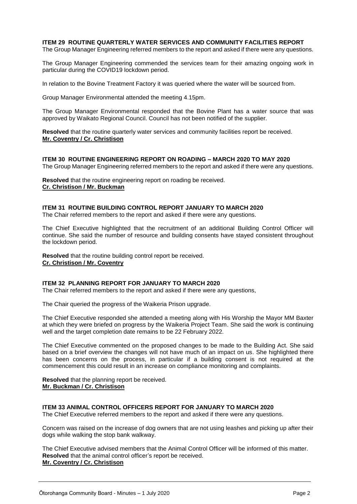#### **ITEM 29 ROUTINE QUARTERLY WATER SERVICES AND COMMUNITY FACILITIES REPORT**

The Group Manager Engineering referred members to the report and asked if there were any questions.

The Group Manager Engineering commended the services team for their amazing ongoing work in particular during the COVID19 lockdown period.

In relation to the Bovine Treatment Factory it was queried where the water will be sourced from.

Group Manager Environmental attended the meeting 4.15pm.

The Group Manager Environmental responded that the Bovine Plant has a water source that was approved by Waikato Regional Council. Council has not been notified of the supplier.

**Resolved** that the routine quarterly water services and community facilities report be received. **Mr. Coventry / Cr. Christison**

**ITEM 30 ROUTINE ENGINEERING REPORT ON ROADING – MARCH 2020 TO MAY 2020** The Group Manager Engineering referred members to the report and asked if there were any questions.

**Resolved** that the routine engineering report on roading be received. **Cr. Christison / Mr. Buckman**

#### **ITEM 31 ROUTINE BUILDING CONTROL REPORT JANUARY TO MARCH 2020**

The Chair referred members to the report and asked if there were any questions.

The Chief Executive highlighted that the recruitment of an additional Building Control Officer will continue. She said the number of resource and building consents have stayed consistent throughout the lockdown period.

**Resolved** that the routine building control report be received. **Cr. Christison / Mr. Coventry**

#### **ITEM 32 PLANNING REPORT FOR JANUARY TO MARCH 2020**

The Chair referred members to the report and asked if there were any questions,

The Chair queried the progress of the Waikeria Prison upgrade.

The Chief Executive responded she attended a meeting along with His Worship the Mayor MM Baxter at which they were briefed on progress by the Waikeria Project Team. She said the work is continuing well and the target completion date remains to be 22 February 2022.

The Chief Executive commented on the proposed changes to be made to the Building Act. She said based on a brief overview the changes will not have much of an impact on us. She highlighted there has been concerns on the process, in particular if a building consent is not required at the commencement this could result in an increase on compliance monitoring and complaints.

**Resolved** that the planning report be received. **Mr. Buckman / Cr. Christison**

#### **ITEM 33 ANIMAL CONTROL OFFICERS REPORT FOR JANUARY TO MARCH 2020**

The Chief Executive referred members to the report and asked if there were any questions.

Concern was raised on the increase of dog owners that are not using leashes and picking up after their dogs while walking the stop bank walkway.

The Chief Executive advised members that the Animal Control Officer will be informed of this matter. **Resolved** that the animal control officer's report be received. **Mr. Coventry / Cr. Christison**